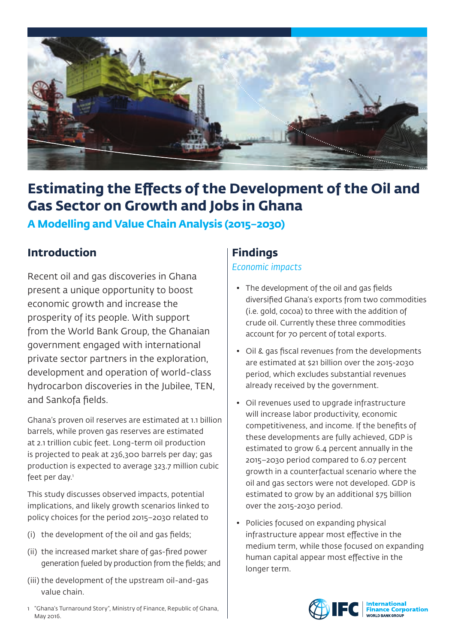

# **Estimating the Effects of the Development of the Oil and Gas Sector on Growth and Jobs in Ghana**

**A Modelling and Value Chain Analysis (2015–2030)**

# **Introduction**

Recent oil and gas discoveries in Ghana present a unique opportunity to boost economic growth and increase the prosperity of its people. With support from the World Bank Group, the Ghanaian government engaged with international private sector partners in the exploration, development and operation of world-class hydrocarbon discoveries in the Jubilee, TEN, and Sankofa fields.

Ghana's proven oil reserves are estimated at 1.1 billion barrels, while proven gas reserves are estimated at 2.1 trillion cubic feet. Long-term oil production is projected to peak at 236,300 barrels per day; gas production is expected to average 323.7 million cubic feet per day.<sup>1</sup>

This study discusses observed impacts, potential implications, and likely growth scenarios linked to policy choices for the period 2015–2030 related to

- (i) the development of the oil and gas fields;
- (ii) the increased market share of gas-fired power generation fueled by production from the fields; and
- (iii) the development of the upstream oil-and-gas value chain.

#### 1 "Ghana's Turnaround Story", Ministry of Finance, Republic of Ghana, May 2016.

## **Findings**

### *Economic impacts*

- The development of the oil and gas fields diversified Ghana's exports from two commodities (i.e. gold, cocoa) to three with the addition of crude oil. Currently these three commodities account for 70 percent of total exports.
- Oil & gas fiscal revenues from the developments are estimated at \$21 billion over the 2015-2030 period, which excludes substantial revenues already received by the government.
- Oil revenues used to upgrade infrastructure will increase labor productivity, economic competitiveness, and income. If the benefits of these developments are fully achieved, GDP is estimated to grow 6.4 percent annually in the 2015–2030 period compared to 6.07 percent growth in a counterfactual scenario where the oil and gas sectors were not developed. GDP is estimated to grow by an additional \$75 billion over the 2015-2030 period.
- Policies focused on expanding physical infrastructure appear most effective in the medium term, while those focused on expanding human capital appear most effective in the longer term.